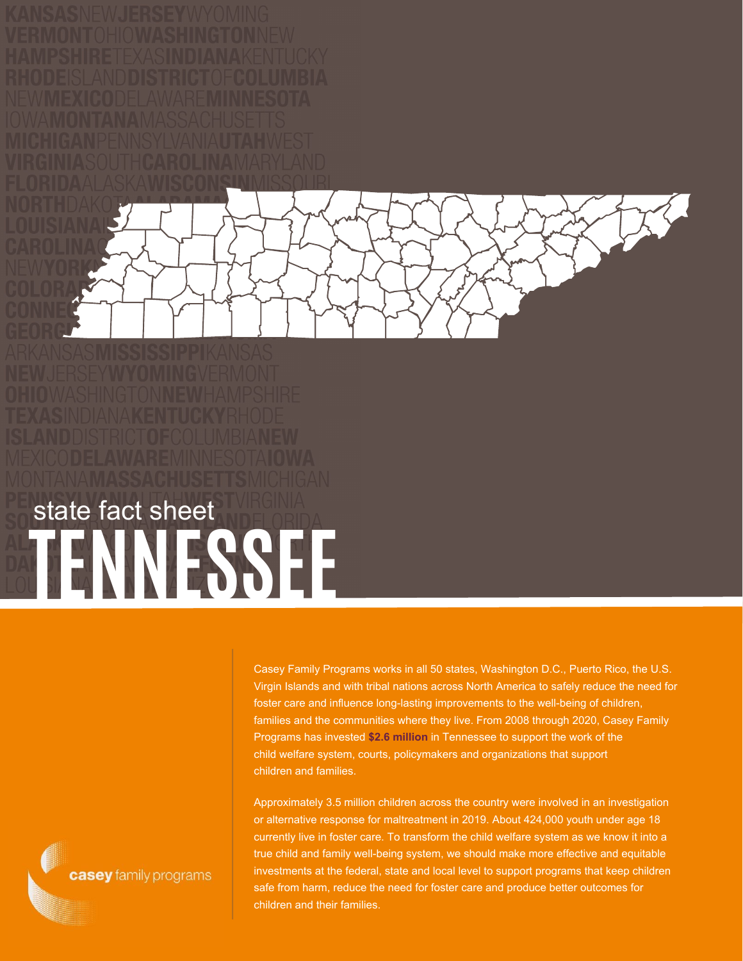

**TENNESSEE** state fact sheet

> Casey Family Programs works in all 50 states, Washington D.C., Puerto Rico, the U.S. Virgin Islands and with tribal nations across North America to safely reduce the need for foster care and influence long-lasting improvements to the well-being of children, families and the communities where they live. From 2008 through 2020, Casey Family Programs has invested **\$2.6 million** in Tennessee to support the work of the child welfare system, courts, policymakers and organizations that support children and families.

Approximately 3.5 million children across the country were involved in an investigation or alternative response for maltreatment in 2019. About 424,000 youth under age 18 currently live in foster care. To transform the child welfare system as we know it into a true child and family well-being system, we should make more effective and equitable investments at the federal, state and local level to support programs that keep children safe from harm, reduce the need for foster care and produce better outcomes for children and their families.

casey family programs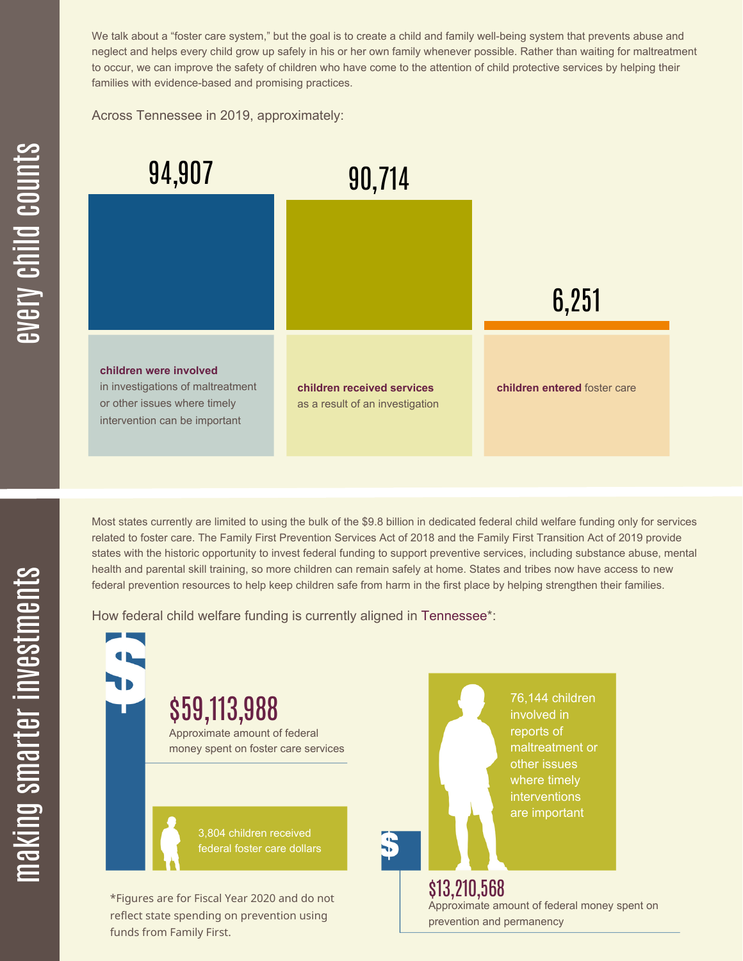We talk about a "foster care system," but the goal is to create a child and family well-being system that prevents abuse and neglect and helps every child grow up safely in his or her own family whenever possible. Rather than waiting for maltreatment to occur, we can improve the safety of children who have come to the attention of child protective services by helping their families with evidence-based and promising practices.

Across Tennessee in 2019, approximately:



Most states currently are limited to using the bulk of the \$9.8 billion in dedicated federal child welfare funding only for services related to foster care. The Family First Prevention Services Act of 2018 and the Family First Transition Act of 2019 provide states with the historic opportunity to invest federal funding to support preventive services, including substance abuse, mental health and parental skill training, so more children can remain safely at home. States and tribes now have access to new federal prevention resources to help keep children safe from harm in the first place by helping strengthen their families.

How federal child welfare funding is currently aligned in Tennessee\*:

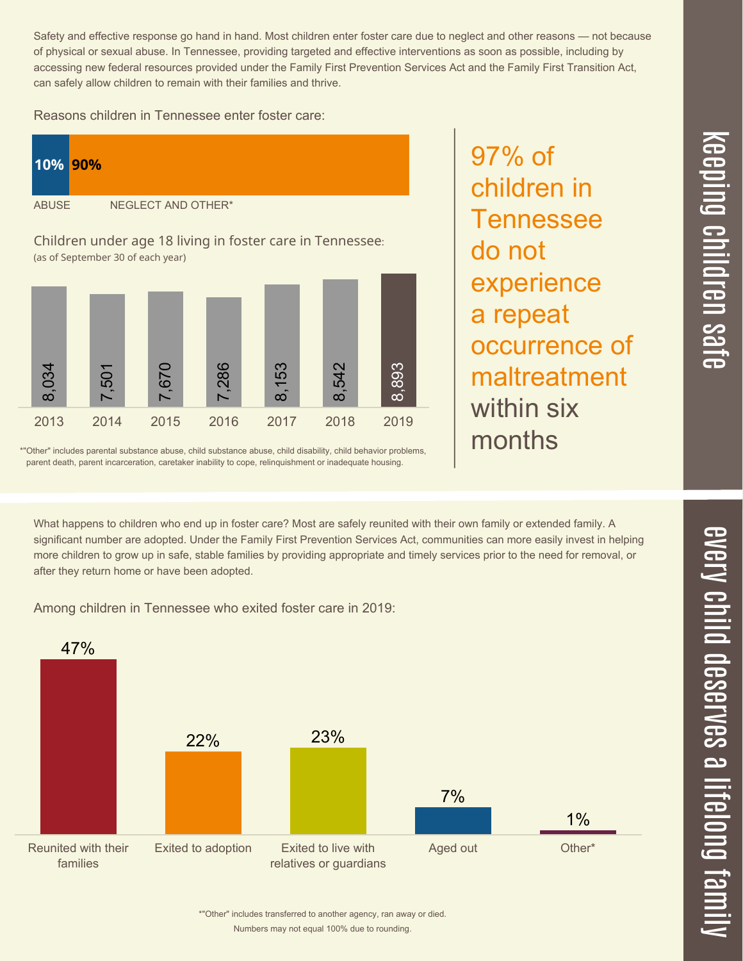$\overline{\phantom{1}}$  $\overline{\mathbf \Theta}$  $\overline{\mathbf{C}}$ <u>pin</u>  $\overline{\mathbf{C}}$  $\overline{\mathbf{C}}$  $\equiv$ 

> $\overline{\mathbf{c}}$  $\overline{\phantom{0}}$  $\boldsymbol{\mathcal{O}}$ a  $\overrightarrow{\mathbf{e}}$

 $\overline{\mathbf{C}}$  $\leq$  $\overline{\mathbf{C}}$  $\overline{\mathsf{Z}}$  $\overline{\mathbf{C}}$ 

 $\equiv$ 

 $\overline{\phantom{0}}$  $\blacksquare$ 

t<br>B

mily

Safety and effective response go hand in hand. Most children enter foster care due to neglect and other reasons — not because of physical or sexual abuse. In Tennessee, providing targeted and effective interventions as soon as possible, including by accessing new federal resources provided under the Family First Prevention Services Act and the Family First Transition Act, can safely allow children to remain with their families and thrive.

Reasons children in Tennessee enter foster care:



\*"Other" includes parental substance abuse, child substance abuse, child disability, child behavior problems, parent death, parent incarceration, caretaker inability to cope, relinquishment or inadequate housing.

What happens to children who end up in foster care? Most are safely reunited with their own family or extended family. A significant number are adopted. Under the Family First Prevention Services Act, communities can more easily invest in helping more children to grow up in safe, stable families by providing appropriate and timely services prior to the need for removal, or after they return home or have been adopted.

Among children in Tennessee who exited foster care in 2019:



97% of

do not

children in

**Tennessee** 

experience

occurrence of

maltreatment

a repeat

within six

months

Numbers may not equal 100% due to rounding. \*"Other" includes transferred to another agency, ran away or died.